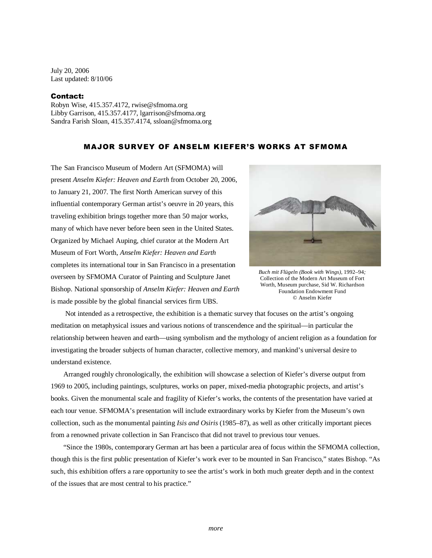July 20, 2006 Last updated: 8/10/06

## Contact:

Robyn Wise, 415.357.4172, rwise@sfmoma.org Libby Garrison, 415.357.4177, lgarrison@sfmoma.org Sandra Farish Sloan, 415.357.4174, ssloan@sfmoma.org

## MAJOR SURVEY OF ANSELM KIEFER'S WORKS AT SFMOMA

The San Francisco Museum of Modern Art (SFMOMA) will present *Anselm Kiefer: Heaven and Earth* from October 20, 2006, to January 21, 2007. The first North American survey of this influential contemporary German artist's oeuvre in 20 years, this traveling exhibition brings together more than 50 major works, many of which have never before been seen in the United States. Organized by Michael Auping, chief curator at the Modern Art Museum of Fort Worth, *Anselm Kiefer: Heaven and Earth*  completes its international tour in San Francisco in a presentation overseen by SFMOMA Curator of Painting and Sculpture Janet Bishop. National sponsorship of *Anselm Kiefer: Heaven and Earth*  is made possible by the global financial services firm UBS.



*Buch mit Flügeln (Book with Wings)*, 1992–94*;*  Collection of the Modern Art Museum of Fort Worth, Museum purchase, Sid W. Richardson Foundation Endowment Fund © Anselm Kiefer

 Not intended as a retrospective, the exhibition is a thematic survey that focuses on the artist's ongoing meditation on metaphysical issues and various notions of transcendence and the spiritual—in particular the relationship between heaven and earth—using symbolism and the mythology of ancient religion as a foundation for investigating the broader subjects of human character, collective memory, and mankind's universal desire to understand existence.

Arranged roughly chronologically, the exhibition will showcase a selection of Kiefer's diverse output from 1969 to 2005, including paintings, sculptures, works on paper, mixed-media photographic projects, and artist's books. Given the monumental scale and fragility of Kiefer's works, the contents of the presentation have varied at each tour venue. SFMOMA's presentation will include extraordinary works by Kiefer from the Museum's own collection, such as the monumental painting *Isis and Osiris* (1985–87), as well as other critically important pieces from a renowned private collection in San Francisco that did not travel to previous tour venues.

"Since the 1980s, contemporary German art has been a particular area of focus within the SFMOMA collection, though this is the first public presentation of Kiefer's work ever to be mounted in San Francisco," states Bishop. "As such, this exhibition offers a rare opportunity to see the artist's work in both much greater depth and in the context of the issues that are most central to his practice."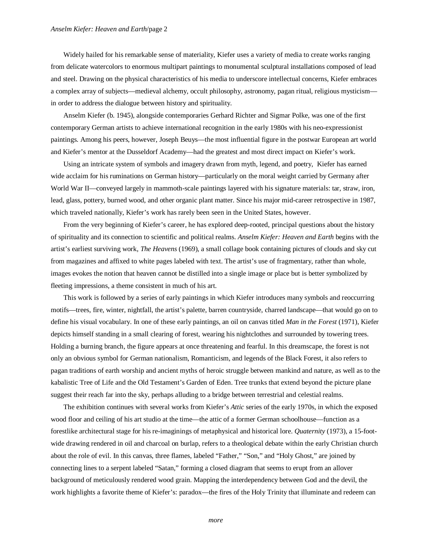## *Anselm Kiefer: Heaven and Earth*/page 2

Widely hailed for his remarkable sense of materiality, Kiefer uses a variety of media to create works ranging from delicate watercolors to enormous multipart paintings to monumental sculptural installations composed of lead and steel. Drawing on the physical characteristics of his media to underscore intellectual concerns, Kiefer embraces a complex array of subjects—medieval alchemy, occult philosophy, astronomy, pagan ritual, religious mysticism in order to address the dialogue between history and spirituality.

Anselm Kiefer (b. 1945), alongside contemporaries Gerhard Richter and Sigmar Polke, was one of the first contemporary German artists to achieve international recognition in the early 1980s with his neo-expressionist paintings. Among his peers, however, Joseph Beuys—the most influential figure in the postwar European art world and Kiefer's mentor at the Dusseldorf Academy—had the greatest and most direct impact on Kiefer's work.

Using an intricate system of symbols and imagery drawn from myth, legend, and poetry, Kiefer has earned wide acclaim for his ruminations on German history—particularly on the moral weight carried by Germany after World War II—conveyed largely in mammoth-scale paintings layered with his signature materials: tar, straw, iron, lead, glass, pottery, burned wood, and other organic plant matter. Since his major mid-career retrospective in 1987, which traveled nationally, Kiefer's work has rarely been seen in the United States, however.

From the very beginning of Kiefer's career, he has explored deep-rooted, principal questions about the history of spirituality and its connection to scientific and political realms. *Anselm Kiefer: Heaven and Earth* begins with the artist's earliest surviving work, *The Heavens* (1969), a small collage book containing pictures of clouds and sky cut from magazines and affixed to white pages labeled with text. The artist's use of fragmentary, rather than whole, images evokes the notion that heaven cannot be distilled into a single image or place but is better symbolized by fleeting impressions, a theme consistent in much of his art.

This work is followed by a series of early paintings in which Kiefer introduces many symbols and reoccurring motifs—trees, fire, winter, nightfall, the artist's palette, barren countryside, charred landscape—that would go on to define his visual vocabulary. In one of these early paintings, an oil on canvas titled *Man in the Forest* (1971), Kiefer depicts himself standing in a small clearing of forest, wearing his nightclothes and surrounded by towering trees. Holding a burning branch, the figure appears at once threatening and fearful. In this dreamscape, the forest is not only an obvious symbol for German nationalism, Romanticism, and legends of the Black Forest, it also refers to pagan traditions of earth worship and ancient myths of heroic struggle between mankind and nature, as well as to the kabalistic Tree of Life and the Old Testament's Garden of Eden. Tree trunks that extend beyond the picture plane suggest their reach far into the sky, perhaps alluding to a bridge between terrestrial and celestial realms.

The exhibition continues with several works from Kiefer's *Attic* series of the early 1970s, in which the exposed wood floor and ceiling of his art studio at the time—the attic of a former German schoolhouse—function as a forestlike architectural stage for his re-imaginings of metaphysical and historical lore. *Quaternity* (1973), a 15-footwide drawing rendered in oil and charcoal on burlap, refers to a theological debate within the early Christian church about the role of evil. In this canvas, three flames, labeled "Father," "Son," and "Holy Ghost," are joined by connecting lines to a serpent labeled "Satan," forming a closed diagram that seems to erupt from an allover background of meticulously rendered wood grain. Mapping the interdependency between God and the devil, the work highlights a favorite theme of Kiefer's: paradox—the fires of the Holy Trinity that illuminate and redeem can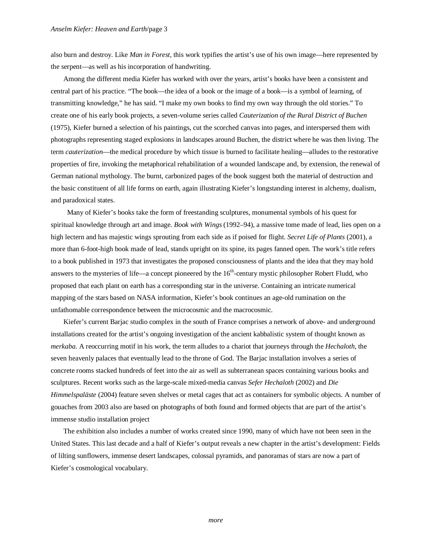also burn and destroy. Like *Man in Forest,* this work typifies the artist's use of his own image—here represented by the serpent—as well as his incorporation of handwriting.

Among the different media Kiefer has worked with over the years, artist's books have been a consistent and central part of his practice. "The book—the idea of a book or the image of a book—is a symbol of learning, of transmitting knowledge," he has said. "I make my own books to find my own way through the old stories." To create one of his early book projects, a seven-volume series called *Cauterization of the Rural District of Buchen* (1975), Kiefer burned a selection of his paintings, cut the scorched canvas into pages, and interspersed them with photographs representing staged explosions in landscapes around Buchen, the district where he was then living. The term *cauterization*—the medical procedure by which tissue is burned to facilitate healing—alludes to the restorative properties of fire, invoking the metaphorical rehabilitation of a wounded landscape and, by extension, the renewal of German national mythology. The burnt, carbonized pages of the book suggest both the material of destruction and the basic constituent of all life forms on earth, again illustrating Kiefer's longstanding interest in alchemy, dualism, and paradoxical states.

 Many of Kiefer's books take the form of freestanding sculptures, monumental symbols of his quest for spiritual knowledge through art and image. *Book with Wings* (1992–94), a massive tome made of lead, lies open on a high lectern and has majestic wings sprouting from each side as if poised for flight. *Secret Life of Plants* (2001), a more than 6-foot-high book made of lead, stands upright on its spine, its pages fanned open. The work's title refers to a book published in 1973 that investigates the proposed consciousness of plants and the idea that they may hold answers to the mysteries of life—a concept pioneered by the  $16<sup>th</sup>$ -century mystic philosopher Robert Fludd, who proposed that each plant on earth has a corresponding star in the universe. Containing an intricate numerical mapping of the stars based on NASA information, Kiefer's book continues an age-old rumination on the unfathomable correspondence between the microcosmic and the macrocosmic.

Kiefer's current Barjac studio complex in the south of France comprises a network of above- and underground installations created for the artist's ongoing investigation of the ancient kabbalistic system of thought known as *merkaba*. A reoccurring motif in his work, the term alludes to a chariot that journeys through the *Hechaloth,* the seven heavenly palaces that eventually lead to the throne of God. The Barjac installation involves a series of concrete rooms stacked hundreds of feet into the air as well as subterranean spaces containing various books and sculptures. Recent works such as the large-scale mixed-media canvas *Sefer Hechaloth* (2002) and *Die Himmelspaläste* (2004) feature seven shelves or metal cages that act as containers for symbolic objects. A number of gouaches from 2003 also are based on photographs of both found and formed objects that are part of the artist's immense studio installation project

The exhibition also includes a number of works created since 1990, many of which have not been seen in the United States. This last decade and a half of Kiefer's output reveals a new chapter in the artist's development: Fields of lilting sunflowers, immense desert landscapes, colossal pyramids, and panoramas of stars are now a part of Kiefer's cosmological vocabulary.